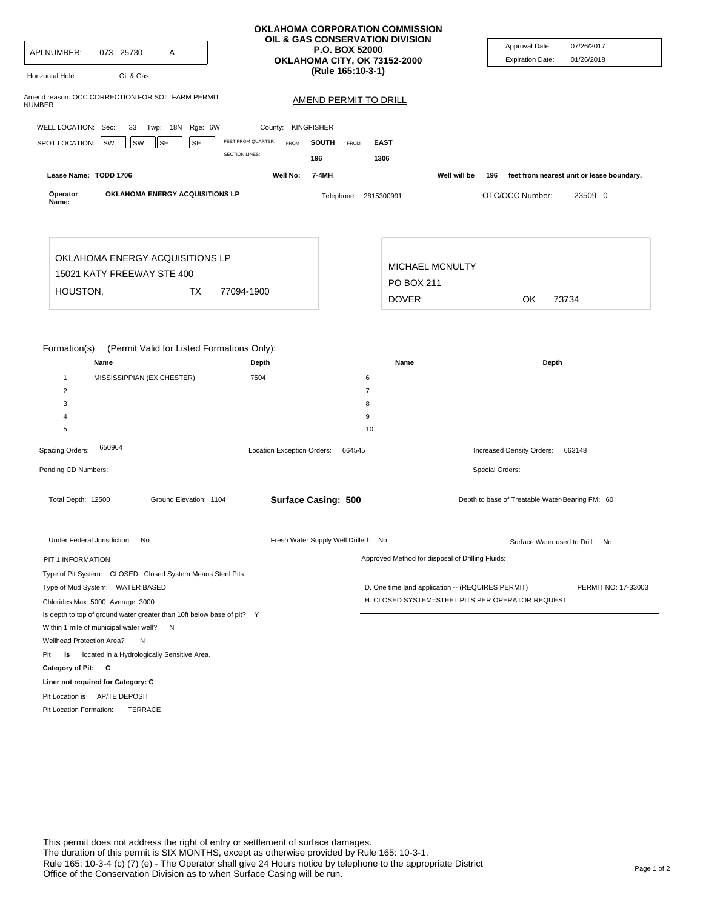| API NUMBER:<br>073 25730<br>A<br>Oil & Gas<br><b>Horizontal Hole</b>   |                                      | OKLAHOMA CORPORATION COMMISSION<br>OIL & GAS CONSERVATION DIVISION<br><b>P.O. BOX 52000</b><br>OKLAHOMA CITY, OK 73152-2000<br>(Rule 165:10-3-1) | Approval Date:<br>07/26/2017<br>01/26/2018<br><b>Expiration Date:</b>    |
|------------------------------------------------------------------------|--------------------------------------|--------------------------------------------------------------------------------------------------------------------------------------------------|--------------------------------------------------------------------------|
| Amend reason: OCC CORRECTION FOR SOIL FARM PERMIT<br>NUMBER            |                                      | <b>AMEND PERMIT TO DRILL</b>                                                                                                                     |                                                                          |
| WELL LOCATION: Sec:                                                    | <b>KINGFISHER</b><br>County:         |                                                                                                                                                  |                                                                          |
| 33 Twp: 18N Rge: 6W                                                    | FEET FROM QUARTER:                   |                                                                                                                                                  |                                                                          |
| SPOT LOCATION:<br>SW<br>SE<br><b>SW</b><br>SE                          | <b>FROM</b><br><b>SECTION LINES:</b> | <b>SOUTH</b><br><b>FROM</b><br><b>EAST</b><br>196<br>1306                                                                                        |                                                                          |
| Lease Name: TODD 1706                                                  | Well No:                             | 7-4MH                                                                                                                                            | Well will be<br>196<br>feet from nearest unit or lease boundary.         |
| OKLAHOMA ENERGY ACQUISITIONS LP<br>Operator<br>Name:                   |                                      | Telephone: 2815300991                                                                                                                            | OTC/OCC Number:<br>23509 0                                               |
| OKLAHOMA ENERGY ACQUISITIONS LP                                        |                                      |                                                                                                                                                  |                                                                          |
| 15021 KATY FREEWAY STE 400                                             |                                      | <b>MICHAEL MCNULTY</b>                                                                                                                           |                                                                          |
| HOUSTON,<br>ТX                                                         | 77094-1900                           | PO BOX 211                                                                                                                                       |                                                                          |
|                                                                        |                                      | <b>DOVER</b>                                                                                                                                     | OK<br>73734                                                              |
| $\overline{2}$<br>3<br>$\overline{4}$<br>5                             |                                      | 7<br>8<br>9<br>10                                                                                                                                |                                                                          |
| 650964<br>Spacing Orders:                                              | Location Exception Orders:           | 664545                                                                                                                                           | Increased Density Orders:<br>663148                                      |
| Pending CD Numbers:                                                    |                                      |                                                                                                                                                  | Special Orders:                                                          |
| Total Depth: 12500<br>Ground Elevation: 1104                           |                                      | <b>Surface Casing: 500</b>                                                                                                                       | Depth to base of Treatable Water-Bearing FM: 60                          |
| Under Federal Jurisdiction: No                                         |                                      | Fresh Water Supply Well Drilled: No                                                                                                              | Surface Water used to Drill: No                                          |
| PIT 1 INFORMATION                                                      |                                      | Approved Method for disposal of Drilling Fluids:                                                                                                 |                                                                          |
| Type of Pit System: CLOSED Closed System Means Steel Pits              |                                      |                                                                                                                                                  |                                                                          |
| Type of Mud System: WATER BASED                                        |                                      |                                                                                                                                                  | D. One time land application -- (REQUIRES PERMIT)<br>PERMIT NO: 17-33003 |
| Chlorides Max: 5000 Average: 3000                                      |                                      |                                                                                                                                                  | H. CLOSED SYSTEM=STEEL PITS PER OPERATOR REQUEST                         |
| Is depth to top of ground water greater than 10ft below base of pit? Y |                                      |                                                                                                                                                  |                                                                          |
| Within 1 mile of municipal water well? N                               |                                      |                                                                                                                                                  |                                                                          |
| Wellhead Protection Area?<br>N                                         |                                      |                                                                                                                                                  |                                                                          |
| is located in a Hydrologically Sensitive Area.<br>Pit                  |                                      |                                                                                                                                                  |                                                                          |
|                                                                        |                                      |                                                                                                                                                  |                                                                          |
| Category of Pit: C                                                     |                                      |                                                                                                                                                  |                                                                          |
| Liner not required for Category: C                                     |                                      |                                                                                                                                                  |                                                                          |
| Pit Location is AP/TE DEPOSIT                                          |                                      |                                                                                                                                                  |                                                                          |